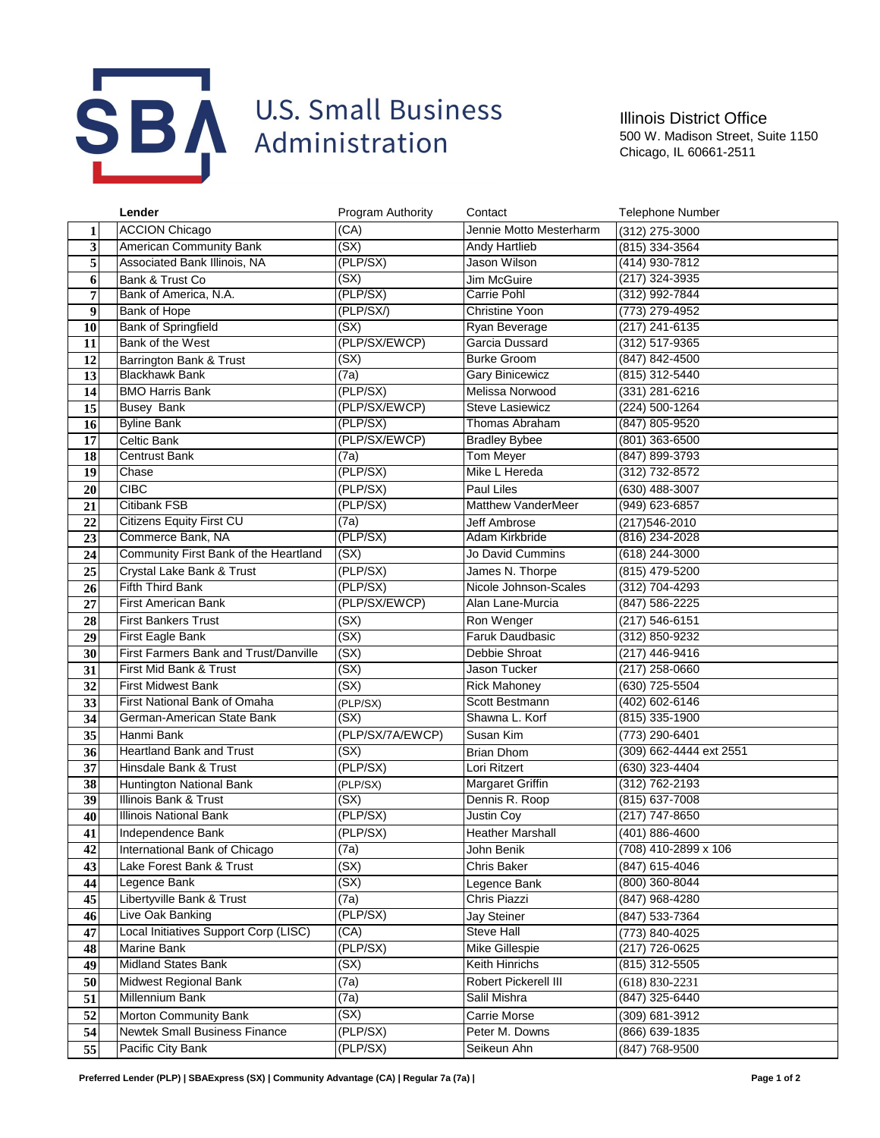

Illinois District Office 500 W. Madison Street, Suite 1150 Chicago, IL 60661-2511

|                         | Lender                                | <b>Program Authority</b> | Contact                 | <b>Telephone Number</b> |
|-------------------------|---------------------------------------|--------------------------|-------------------------|-------------------------|
| 1                       | <b>ACCION Chicago</b>                 | (CA)                     | Jennie Motto Mesterharm | (312) 275-3000          |
| $\overline{\mathbf{3}}$ | <b>American Community Bank</b>        | (SX)                     | Andy Hartlieb           | (815) 334-3564          |
| 5                       | Associated Bank Illinois, NA          | (PLP/SX)                 | Jason Wilson            | (414) 930-7812          |
| 6                       | Bank & Trust Co                       | (SX)                     | Jim McGuire             | (217) 324-3935          |
| 7                       | Bank of America, N.A.                 | (PLP/SX)                 | Carrie Pohl             | (312) 992-7844          |
| $\boldsymbol{9}$        | <b>Bank of Hope</b>                   | (PLP/SX/)                | <b>Christine Yoon</b>   | (773) 279-4952          |
| 10                      | <b>Bank of Springfield</b>            | (SX)                     | Ryan Beverage           | $(217)$ 241-6135        |
| 11                      | Bank of the West                      | (PLP/SX/EWCP)            | Garcia Dussard          | (312) 517-9365          |
| 12                      | Barrington Bank & Trust               | (SX)                     | <b>Burke Groom</b>      | (847) 842-4500          |
| 13                      | <b>Blackhawk Bank</b>                 | (7a)                     | <b>Gary Binicewicz</b>  | (815) 312-5440          |
| 14                      | <b>BMO Harris Bank</b>                | (PLP/SX)                 | Melissa Norwood         | (331) 281-6216          |
| 15                      | <b>Busey Bank</b>                     | (PLP/SX/EWCP)            | <b>Steve Lasiewicz</b>  | (224) 500-1264          |
| 16                      | <b>Byline Bank</b>                    | (PLP/SX)                 | Thomas Abraham          | (847) 805-9520          |
| 17                      | Celtic Bank                           | (PLP/SX/EWCP)            | <b>Bradley Bybee</b>    | (801) 363-6500          |
| 18                      | Centrust Bank                         | (7a)                     | Tom Meyer               | (847) 899-3793          |
| 19                      | Chase                                 | (PLP/SX)                 | Mike L Hereda           | (312) 732-8572          |
| 20                      | <b>CIBC</b>                           | (PLP/SX)                 | Paul Liles              | (630) 488-3007          |
| 21                      | Citibank FSB                          | (PLP/SX)                 | Matthew VanderMeer      | (949) 623-6857          |
| 22                      | <b>Citizens Equity First CU</b>       | (7a)                     | Jeff Ambrose            | (217) 546-2010          |
| 23                      | Commerce Bank, NA                     | (PLP/SX)                 | Adam Kirkbride          | (816) 234-2028          |
| 24                      | Community First Bank of the Heartland | (SX)                     | Jo David Cummins        | (618) 244-3000          |
| 25                      | Crystal Lake Bank & Trust             | (PLP/SX)                 | James N. Thorpe         | (815) 479-5200          |
| 26                      | <b>Fifth Third Bank</b>               | (PLP/SX)                 | Nicole Johnson-Scales   | (312) 704-4293          |
| 27                      | First American Bank                   | (PLP/SX/EWCP)            | Alan Lane-Murcia        | $(847) 586 - 2225$      |
| 28                      | <b>First Bankers Trust</b>            | (SX)                     | Ron Wenger              | (217) 546-6151          |
| 29                      | First Eagle Bank                      | (SX)                     | <b>Faruk Daudbasic</b>  | (312) 850-9232          |
| 30                      | First Farmers Bank and Trust/Danville | (SX)                     | Debbie Shroat           | (217) 446-9416          |
| 31                      | First Mid Bank & Trust                | (SX)                     | Jason Tucker            | (217) 258-0660          |
| 32                      | <b>First Midwest Bank</b>             | (SX)                     | <b>Rick Mahoney</b>     | (630) 725-5504          |
| 33                      | First National Bank of Omaha          | (PLP/SX)                 | Scott Bestmann          | (402) 602-6146          |
| 34                      | German-American State Bank            | (SX)                     | Shawna L. Korf          | (815) 335-1900          |
| 35                      | Hanmi Bank                            | (PLP/SX/7A/EWCP)         | Susan Kim               | (773) 290-6401          |
| 36                      | <b>Heartland Bank and Trust</b>       | (SX)                     | <b>Brian Dhom</b>       | (309) 662-4444 ext 2551 |
| 37                      | Hinsdale Bank & Trust                 | (PLP/SX)                 | Lori Ritzert            | (630) 323-4404          |
| 38                      | Huntington National Bank              | (PLP/SX)                 | <b>Margaret Griffin</b> | (312) 762-2193          |
| 39                      | Illinois Bank & Trust                 | (SX)                     | Dennis R. Roop          | $(815)$ 637-7008        |
| 40                      | <b>Illinois National Bank</b>         | (PLP/SX)                 | Justin Coy              | $(217)$ 747-8650        |
| 41                      | Independence Bank                     | (PLP/SX)                 | <b>Heather Marshall</b> | (401) 886-4600          |
| 42                      | International Bank of Chicago         | (7a)                     | John Benik              | (708) 410-2899 x 106    |
| 43                      | Lake Forest Bank & Trust              | (SX)                     | Chris Baker             | (847) 615-4046          |
| 44                      | Legence Bank                          | (SX)                     | Legence Bank            | (800) 360-8044          |
| 45                      | Libertyville Bank & Trust             | (7a)                     | Chris Piazzi            | (847) 968-4280          |
| 46                      | Live Oak Banking                      | (PLP/SX)                 | Jay Steiner             | (847) 533-7364          |
| 47                      | Local Initiatives Support Corp (LISC) | (CA)                     | Steve Hall              | (773) 840-4025          |
| 48                      | Marine Bank                           | (PLP/SX)                 | Mike Gillespie          | (217) 726-0625          |
| 49                      | <b>Midland States Bank</b>            | (SX)                     | Keith Hinrichs          | (815) 312-5505          |
| 50                      | Midwest Regional Bank                 | (7a)                     | Robert Pickerell III    | $(618) 830 - 2231$      |
| 51                      | Millennium Bank                       | $\overline{(7a)}$        | Salil Mishra            | (847) 325-6440          |
| 52                      | Morton Community Bank                 | (SX)                     | Carrie Morse            | (309) 681-3912          |
| 54                      | Newtek Small Business Finance         | (PLP/SX)                 | Peter M. Downs          | (866) 639-1835          |
| 55                      | Pacific City Bank                     | (PLP/SX)                 | Seikeun Ahn             | $(847) 768 - 9500$      |
|                         |                                       |                          |                         |                         |